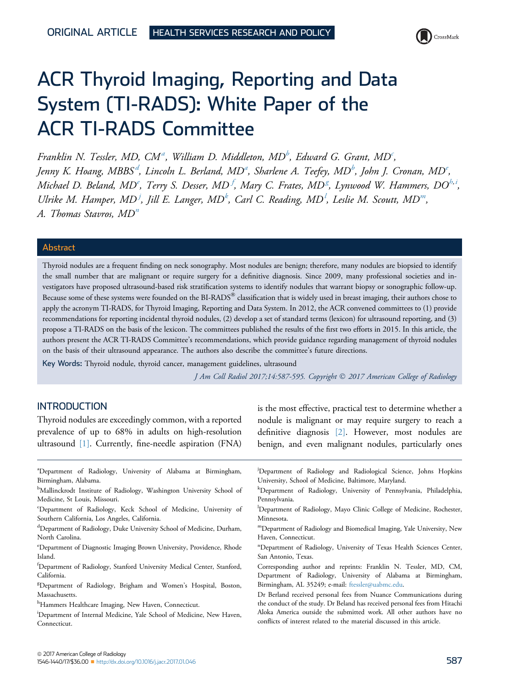

# ACR Thyroid Imaging, Reporting and Data System (TI-RADS): White Paper of the ACR TI-RADS Committee

Franklin N. Tessler, MD, CM<sup>a</sup>, William D. Middleton, MD<sup>b</sup>, Edward G. Grant, MD<sup>c</sup>, Jenny K. Hoang, MBBS<sup>d</sup>, Lincoln L. Berland, MD<sup>a</sup>, Sharlene A. Teefey, MD<sup>b</sup>, John J. Cronan, MD<sup>e</sup>, Michael D. Beland, MD<sup>e</sup>, Terry S. Desser, MD <sup>f</sup>, Mary C. Frates, MD <sup>g</sup>, Lynwood W. Hammers, DO<sup>h, i</sup>, Ulrike M. Hamper, MD<sup>j</sup>, Jill E. Langer, MD<sup>k</sup>, Carl C. Reading, MD<sup>l</sup>, Leslie M. Scoutt, MD<sup>m</sup>, A. Thomas Stavros,  $MD<sup>n</sup>$ 

#### **Abstract**

Thyroid nodules are a frequent finding on neck sonography. Most nodules are benign; therefore, many nodules are biopsied to identify the small number that are malignant or require surgery for a definitive diagnosis. Since 2009, many professional societies and investigators have proposed ultrasound-based risk stratification systems to identify nodules that warrant biopsy or sonographic follow-up. Because some of these systems were founded on the BI-RADS $^{\circledast}$  classification that is widely used in breast imaging, their authors chose to apply the acronym TI-RADS, for Thyroid Imaging, Reporting and Data System. In 2012, the ACR convened committees to (1) provide recommendations for reporting incidental thyroid nodules, (2) develop a set of standard terms (lexicon) for ultrasound reporting, and (3) propose a TI-RADS on the basis of the lexicon. The committees published the results of the first two efforts in 2015. In this article, the authors present the ACR TI-RADS Committee's recommendations, which provide guidance regarding management of thyroid nodules on the basis of their ultrasound appearance. The authors also describe the committee's future directions.

Key Words: Thyroid nodule, thyroid cancer, management guidelines, ultrasound

J Am Coll Radiol 2017;14:587-595. Copyright © 2017 American College of Radiology

## INTRODUCTION

Thyroid nodules are exceedingly common, with a reported prevalence of up to 68% in adults on high-resolution ultrasound [\[1\].](#page-6-0) Currently, fine-needle aspiration (FNA) is the most effective, practical test to determine whether a nodule is malignant or may require surgery to reach a definitive diagnosis [\[2\].](#page-6-0) However, most nodules are benign, and even malignant nodules, particularly ones

| <sup>a</sup> Department of Radiology, University of Alabama at Birmingham,          | <sup>J</sup> Department of Radiology and Radiological Science, Johns Hopkins      |
|-------------------------------------------------------------------------------------|-----------------------------------------------------------------------------------|
| Birmingham, Alabama.                                                                | University, School of Medicine, Baltimore, Maryland.                              |
| <sup>b</sup> Mallinckrodt Institute of Radiology, Washington University School of   | <sup>k</sup> Department of Radiology, University of Pennsylvania, Philadelphia,   |
| Medicine, St Louis, Missouri.                                                       | Pennsylvania.                                                                     |
| <sup>c</sup> Department of Radiology, Keck School of Medicine, University of        | <sup>1</sup> Department of Radiology, Mayo Clinic College of Medicine, Rochester, |
| Southern California, Los Angeles, California.                                       | Minnesota.                                                                        |
| <sup>d</sup> Department of Radiology, Duke University School of Medicine, Durham,   | <sup>m</sup> Department of Radiology and Biomedical Imaging, Yale University, New |
| North Carolina.                                                                     | Haven, Connecticut.                                                               |
| <sup>e</sup> Department of Diagnostic Imaging Brown University, Providence, Rhode   | "Department of Radiology, University of Texas Health Sciences Center,             |
| Island.                                                                             | San Antonio, Texas.                                                               |
| <sup>t</sup> Department of Radiology, Stanford University Medical Center, Stanford, | Corresponding author and reprints: Franklin N. Tessler, MD, CM,                   |
| California.                                                                         | Department of Radiology, University of Alabama at Birmingham,                     |
| <sup>g</sup> Department of Radiology, Brigham and Women's Hospital, Boston,         | Birmingham, AL 35249; e-mail: ftessler@uabmc.edu.                                 |
| Massachusetts.                                                                      | Dr Berland received personal fees from Nuance Communications during               |
| "Hammers Healthcare Imaging, New Haven, Connecticut.                                | the conduct of the study. Dr Beland has received personal fees from Hitachi       |
| 'Department of Internal Medicine, Yale School of Medicine, New Haven,               | Aloka America outside the submitted work. All other authors have no               |
| Connecticut.                                                                        | conflicts of interest related to the material discussed in this article.          |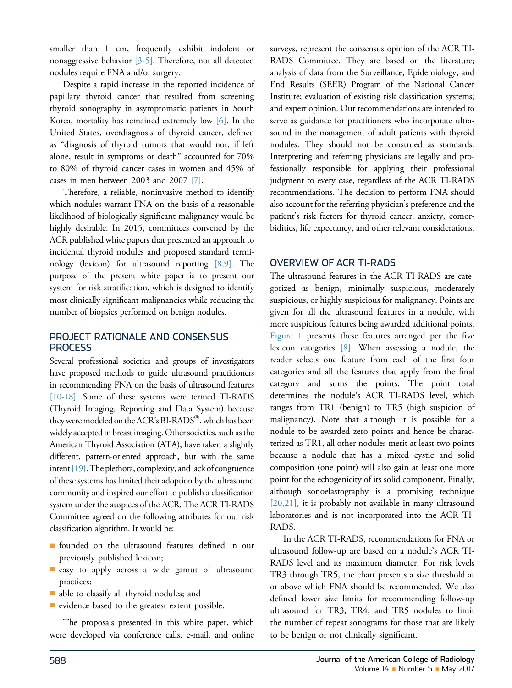smaller than 1 cm, frequently exhibit indolent or nonaggressive behavior [\[3-5\].](#page-6-0) Therefore, not all detected nodules require FNA and/or surgery.

Despite a rapid increase in the reported incidence of papillary thyroid cancer that resulted from screening thyroid sonography in asymptomatic patients in South Korea, mortality has remained extremely low [\[6\].](#page-6-0) In the United States, overdiagnosis of thyroid cancer, defined as "diagnosis of thyroid tumors that would not, if left alone, result in symptoms or death" accounted for 70% to 80% of thyroid cancer cases in women and 45% of cases in men between 2003 and 2007 [\[7\]](#page-6-0).

Therefore, a reliable, noninvasive method to identify which nodules warrant FNA on the basis of a reasonable likelihood of biologically significant malignancy would be highly desirable. In 2015, committees convened by the ACR published white papers that presented an approach to incidental thyroid nodules and proposed standard terminology (lexicon) for ultrasound reporting [\[8,9\]](#page-6-0). The purpose of the present white paper is to present our system for risk stratification, which is designed to identify most clinically significant malignancies while reducing the number of biopsies performed on benign nodules.

## PROJECT RATIONALE AND CONSENSUS PROCESS

Several professional societies and groups of investigators have proposed methods to guide ultrasound practitioners in recommending FNA on the basis of ultrasound features [\[10-18\]](#page-6-0). Some of these systems were termed TI-RADS (Thyroid Imaging, Reporting and Data System) because they were modeled on the ACR's BI-RADS®, which has been widely accepted in breast imaging. Other societies, such as the American Thyroid Association (ATA), have taken a slightly different, pattern-oriented approach, but with the same intent [\[19\].](#page-7-0) The plethora, complexity, and lack of congruence of these systems has limited their adoption by the ultrasound community and inspired our effort to publish a classification system under the auspices of the ACR. The ACR TI-RADS Committee agreed on the following attributes for our risk classification algorithm. It would be:

- <sup>n</sup> founded on the ultrasound features defined in our previously published lexicon;
- <sup>n</sup> easy to apply across a wide gamut of ultrasound practices;
- able to classify all thyroid nodules; and
- n evidence based to the greatest extent possible.

The proposals presented in this white paper, which were developed via conference calls, e-mail, and online

surveys, represent the consensus opinion of the ACR TI-RADS Committee. They are based on the literature; analysis of data from the Surveillance, Epidemiology, and End Results (SEER) Program of the National Cancer Institute; evaluation of existing risk classification systems; and expert opinion. Our recommendations are intended to serve as guidance for practitioners who incorporate ultrasound in the management of adult patients with thyroid nodules. They should not be construed as standards. Interpreting and referring physicians are legally and professionally responsible for applying their professional judgment to every case, regardless of the ACR TI-RADS recommendations. The decision to perform FNA should also account for the referring physician's preference and the patient's risk factors for thyroid cancer, anxiety, comorbidities, life expectancy, and other relevant considerations.

# OVERVIEW OF ACR TI-RADS

The ultrasound features in the ACR TI-RADS are categorized as benign, minimally suspicious, moderately suspicious, or highly suspicious for malignancy. Points are given for all the ultrasound features in a nodule, with more suspicious features being awarded additional points. [Figure 1](#page-2-0) presents these features arranged per the five lexicon categories [\[8\].](#page-6-0) When assessing a nodule, the reader selects one feature from each of the first four categories and all the features that apply from the final category and sums the points. The point total determines the nodule's ACR TI-RADS level, which ranges from TR1 (benign) to TR5 (high suspicion of malignancy). Note that although it is possible for a nodule to be awarded zero points and hence be characterized as TR1, all other nodules merit at least two points because a nodule that has a mixed cystic and solid composition (one point) will also gain at least one more point for the echogenicity of its solid component. Finally, although sonoelastography is a promising technique [\[20,21\]](#page-7-0), it is probably not available in many ultrasound laboratories and is not incorporated into the ACR TI-RADS.

In the ACR TI-RADS, recommendations for FNA or ultrasound follow-up are based on a nodule's ACR TI-RADS level and its maximum diameter. For risk levels TR3 through TR5, the chart presents a size threshold at or above which FNA should be recommended. We also defined lower size limits for recommending follow-up ultrasound for TR3, TR4, and TR5 nodules to limit the number of repeat sonograms for those that are likely to be benign or not clinically significant.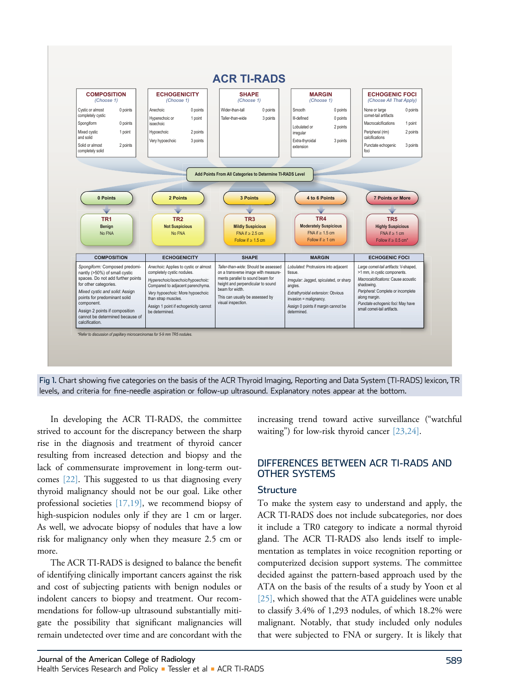<span id="page-2-0"></span>

Fig 1. Chart showing five categories on the basis of the ACR Thyroid Imaging, Reporting and Data System (TI-RADS) lexicon, TR levels, and criteria for fine-needle aspiration or follow-up ultrasound. Explanatory notes appear at the bottom.

In developing the ACR TI-RADS, the committee strived to account for the discrepancy between the sharp rise in the diagnosis and treatment of thyroid cancer resulting from increased detection and biopsy and the lack of commensurate improvement in long-term outcomes [\[22\].](#page-7-0) This suggested to us that diagnosing every thyroid malignancy should not be our goal. Like other professional societies [\[17,19\],](#page-7-0) we recommend biopsy of high-suspicion nodules only if they are 1 cm or larger. As well, we advocate biopsy of nodules that have a low risk for malignancy only when they measure 2.5 cm or more.

The ACR TI-RADS is designed to balance the benefit of identifying clinically important cancers against the risk and cost of subjecting patients with benign nodules or indolent cancers to biopsy and treatment. Our recommendations for follow-up ultrasound substantially mitigate the possibility that significant malignancies will remain undetected over time and are concordant with the

DIFFERENCES BETWEEN ACR TI-RADS AND OTHER SYSTEMS

waiting") for low-risk thyroid cancer [\[23,24\].](#page-7-0)

#### **Structure**

To make the system easy to understand and apply, the ACR TI-RADS does not include subcategories, nor does it include a TR0 category to indicate a normal thyroid gland. The ACR TI-RADS also lends itself to implementation as templates in voice recognition reporting or computerized decision support systems. The committee decided against the pattern-based approach used by the ATA on the basis of the results of a study by Yoon et al [\[25\],](#page-7-0) which showed that the ATA guidelines were unable to classify 3.4% of 1,293 nodules, of which 18.2% were malignant. Notably, that study included only nodules that were subjected to FNA or surgery. It is likely that

increasing trend toward active surveillance ("watchful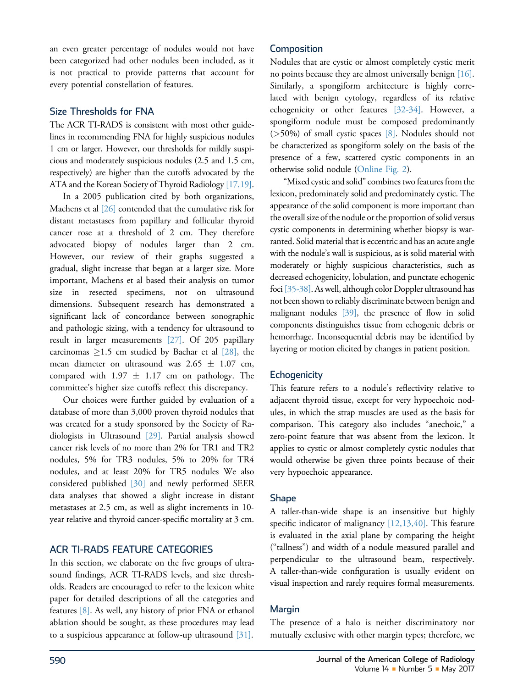an even greater percentage of nodules would not have been categorized had other nodules been included, as it is not practical to provide patterns that account for every potential constellation of features.

# Size Thresholds for FNA

The ACR TI-RADS is consistent with most other guidelines in recommending FNA for highly suspicious nodules 1 cm or larger. However, our thresholds for mildly suspicious and moderately suspicious nodules (2.5 and 1.5 cm, respectively) are higher than the cutoffs advocated by the ATA and the Korean Society of Thyroid Radiology [\[17,19\]](#page-7-0).

In a 2005 publication cited by both organizations, Machens et al [\[26\]](#page-7-0) contended that the cumulative risk for distant metastases from papillary and follicular thyroid cancer rose at a threshold of 2 cm. They therefore advocated biopsy of nodules larger than 2 cm. However, our review of their graphs suggested a gradual, slight increase that began at a larger size. More important, Machens et al based their analysis on tumor size in resected specimens, not on ultrasound dimensions. Subsequent research has demonstrated a significant lack of concordance between sonographic and pathologic sizing, with a tendency for ultrasound to result in larger measurements [\[27\].](#page-7-0) Of 205 papillary carcinomas  $\geq$ 1.5 cm studied by Bachar et al [\[28\]](#page-7-0), the mean diameter on ultrasound was  $2.65 \pm 1.07$  cm, compared with  $1.97 \pm 1.17$  cm on pathology. The committee's higher size cutoffs reflect this discrepancy.

Our choices were further guided by evaluation of a database of more than 3,000 proven thyroid nodules that was created for a study sponsored by the Society of Radiologists in Ultrasound [\[29\].](#page-7-0) Partial analysis showed cancer risk levels of no more than 2% for TR1 and TR2 nodules, 5% for TR3 nodules, 5% to 20% for TR4 nodules, and at least 20% for TR5 nodules We also considered published [\[30\]](#page-7-0) and newly performed SEER data analyses that showed a slight increase in distant metastases at 2.5 cm, as well as slight increments in 10 year relative and thyroid cancer-specific mortality at 3 cm.

# ACR TI-RADS FEATURE CATEGORIES

In this section, we elaborate on the five groups of ultrasound findings, ACR TI-RADS levels, and size thresholds. Readers are encouraged to refer to the lexicon white paper for detailed descriptions of all the categories and features [\[8\]](#page-6-0). As well, any history of prior FNA or ethanol ablation should be sought, as these procedures may lead to a suspicious appearance at follow-up ultrasound [\[31\].](#page-7-0)

Nodules that are cystic or almost completely cystic merit no points because they are almost universally benign [\[16\].](#page-7-0) Similarly, a spongiform architecture is highly correlated with benign cytology, regardless of its relative echogenicity or other features [\[32-34\].](#page-7-0) However, a spongiform nodule must be composed predominantly (>50%) of small cystic spaces [\[8\]](#page-6-0). Nodules should not be characterized as spongiform solely on the basis of the presence of a few, scattered cystic components in an otherwise solid nodule (Online Fig. 2).

"Mixed cystic and solid" combines two features from the lexicon, predominately solid and predominately cystic. The appearance of the solid component is more important than the overall size of the nodule or the proportion of solid versus cystic components in determining whether biopsy is warranted. Solid material that is eccentric and has an acute angle with the nodule's wall is suspicious, as is solid material with moderately or highly suspicious characteristics, such as decreased echogenicity, lobulation, and punctate echogenic foci [\[35-38\]](#page-7-0). As well, although color Doppler ultrasound has not been shown to reliably discriminate between benign and malignant nodules [\[39\]](#page-7-0), the presence of flow in solid components distinguishes tissue from echogenic debris or hemorrhage. Inconsequential debris may be identified by layering or motion elicited by changes in patient position.

# **Echogenicity**

This feature refers to a nodule's reflectivity relative to adjacent thyroid tissue, except for very hypoechoic nodules, in which the strap muscles are used as the basis for comparison. This category also includes "anechoic," a zero-point feature that was absent from the lexicon. It applies to cystic or almost completely cystic nodules that would otherwise be given three points because of their very hypoechoic appearance.

# **Shape**

A taller-than-wide shape is an insensitive but highly specific indicator of malignancy [\[12,13,40\]](#page-6-0). This feature is evaluated in the axial plane by comparing the height ("tallness") and width of a nodule measured parallel and perpendicular to the ultrasound beam, respectively. A taller-than-wide configuration is usually evident on visual inspection and rarely requires formal measurements.

# Margin

The presence of a halo is neither discriminatory nor mutually exclusive with other margin types; therefore, we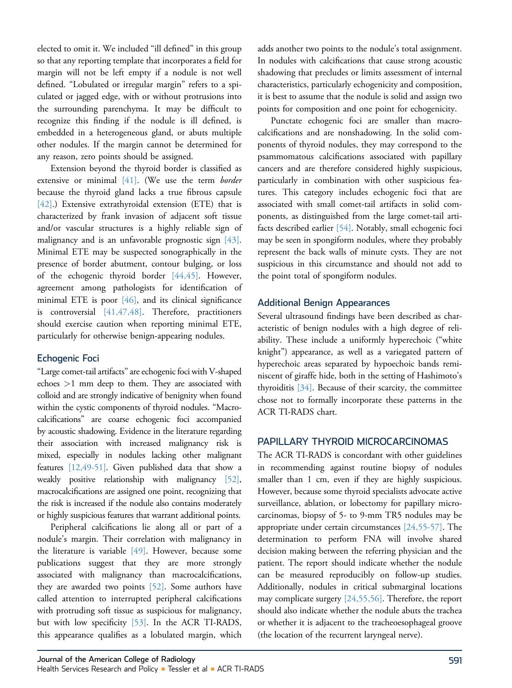elected to omit it. We included "ill defined" in this group so that any reporting template that incorporates a field for margin will not be left empty if a nodule is not well defined. "Lobulated or irregular margin" refers to a spiculated or jagged edge, with or without protrusions into the surrounding parenchyma. It may be difficult to recognize this finding if the nodule is ill defined, is embedded in a heterogeneous gland, or abuts multiple other nodules. If the margin cannot be determined for any reason, zero points should be assigned.

Extension beyond the thyroid border is classified as extensive or minimal [\[41\]](#page-7-0). (We use the term border because the thyroid gland lacks a true fibrous capsule [\[42\].](#page-7-0)) Extensive extrathyroidal extension (ETE) that is characterized by frank invasion of adjacent soft tissue and/or vascular structures is a highly reliable sign of malignancy and is an unfavorable prognostic sign [\[43\]](#page-7-0). Minimal ETE may be suspected sonographically in the presence of border abutment, contour bulging, or loss of the echogenic thyroid border [\[44,45\]](#page-7-0). However, agreement among pathologists for identification of minimal ETE is poor [\[46\],](#page-7-0) and its clinical significance is controversial [\[41,47,48\].](#page-7-0) Therefore, practitioners should exercise caution when reporting minimal ETE, particularly for otherwise benign-appearing nodules.

## Echogenic Foci

"Large comet-tail artifacts"are echogenic foci with V-shaped echoes >1 mm deep to them. They are associated with colloid and are strongly indicative of benignity when found within the cystic components of thyroid nodules. "Macrocalcifications" are coarse echogenic foci accompanied by acoustic shadowing. Evidence in the literature regarding their association with increased malignancy risk is mixed, especially in nodules lacking other malignant features [\[12,49-51\]](#page-6-0). Given published data that show a weakly positive relationship with malignancy [\[52\]](#page-7-0), macrocalcifications are assigned one point, recognizing that the risk is increased if the nodule also contains moderately or highly suspicious features that warrant additional points.

Peripheral calcifications lie along all or part of a nodule's margin. Their correlation with malignancy in the literature is variable [\[49\]](#page-7-0). However, because some publications suggest that they are more strongly associated with malignancy than macrocalcifications, they are awarded two points [\[52\].](#page-7-0) Some authors have called attention to interrupted peripheral calcifications with protruding soft tissue as suspicious for malignancy, but with low specificity [\[53\].](#page-7-0) In the ACR TI-RADS, this appearance qualifies as a lobulated margin, which adds another two points to the nodule's total assignment. In nodules with calcifications that cause strong acoustic shadowing that precludes or limits assessment of internal characteristics, particularly echogenicity and composition, it is best to assume that the nodule is solid and assign two points for composition and one point for echogenicity.

Punctate echogenic foci are smaller than macrocalcifications and are nonshadowing. In the solid components of thyroid nodules, they may correspond to the psammomatous calcifications associated with papillary cancers and are therefore considered highly suspicious, particularly in combination with other suspicious features. This category includes echogenic foci that are associated with small comet-tail artifacts in solid components, as distinguished from the large comet-tail artifacts described earlier [\[54\]](#page-7-0). Notably, small echogenic foci may be seen in spongiform nodules, where they probably represent the back walls of minute cysts. They are not suspicious in this circumstance and should not add to the point total of spongiform nodules.

#### Additional Benign Appearances

Several ultrasound findings have been described as characteristic of benign nodules with a high degree of reliability. These include a uniformly hyperechoic ("white knight") appearance, as well as a variegated pattern of hyperechoic areas separated by hypoechoic bands reminiscent of giraffe hide, both in the setting of Hashimoto's thyroiditis [\[34\]](#page-7-0). Because of their scarcity, the committee chose not to formally incorporate these patterns in the ACR TI-RADS chart.

#### PAPILLARY THYROID MICROCARCINOMAS

The ACR TI-RADS is concordant with other guidelines in recommending against routine biopsy of nodules smaller than 1 cm, even if they are highly suspicious. However, because some thyroid specialists advocate active surveillance, ablation, or lobectomy for papillary microcarcinomas, biopsy of 5- to 9-mm TR5 nodules may be appropriate under certain circumstances [\[24,55-57\].](#page-7-0) The determination to perform FNA will involve shared decision making between the referring physician and the patient. The report should indicate whether the nodule can be measured reproducibly on follow-up studies. Additionally, nodules in critical submarginal locations may complicate surgery [\[24,55,56\]](#page-7-0). Therefore, the report should also indicate whether the nodule abuts the trachea or whether it is adjacent to the tracheoesophageal groove (the location of the recurrent laryngeal nerve).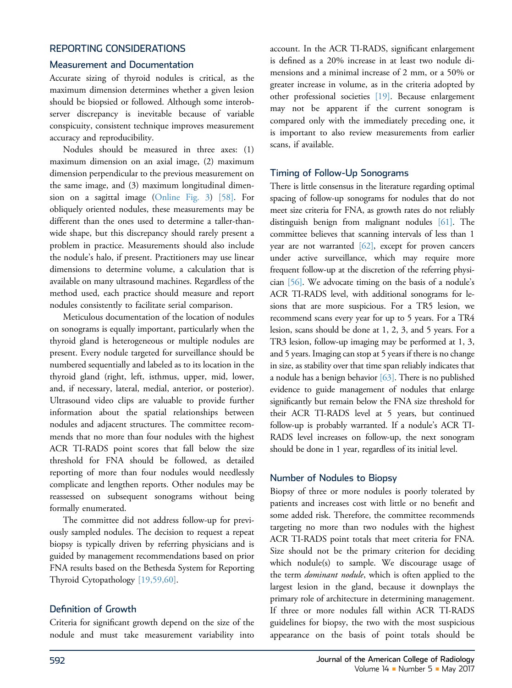## REPORTING CONSIDERATIONS

#### Measurement and Documentation

Accurate sizing of thyroid nodules is critical, as the maximum dimension determines whether a given lesion should be biopsied or followed. Although some interobserver discrepancy is inevitable because of variable conspicuity, consistent technique improves measurement accuracy and reproducibility.

Nodules should be measured in three axes: (1) maximum dimension on an axial image, (2) maximum dimension perpendicular to the previous measurement on the same image, and (3) maximum longitudinal dimension on a sagittal image (Online Fig. 3) [\[58\].](#page-8-0) For obliquely oriented nodules, these measurements may be different than the ones used to determine a taller-thanwide shape, but this discrepancy should rarely present a problem in practice. Measurements should also include the nodule's halo, if present. Practitioners may use linear dimensions to determine volume, a calculation that is available on many ultrasound machines. Regardless of the method used, each practice should measure and report nodules consistently to facilitate serial comparison.

Meticulous documentation of the location of nodules on sonograms is equally important, particularly when the thyroid gland is heterogeneous or multiple nodules are present. Every nodule targeted for surveillance should be numbered sequentially and labeled as to its location in the thyroid gland (right, left, isthmus, upper, mid, lower, and, if necessary, lateral, medial, anterior, or posterior). Ultrasound video clips are valuable to provide further information about the spatial relationships between nodules and adjacent structures. The committee recommends that no more than four nodules with the highest ACR TI-RADS point scores that fall below the size threshold for FNA should be followed, as detailed reporting of more than four nodules would needlessly complicate and lengthen reports. Other nodules may be reassessed on subsequent sonograms without being formally enumerated.

The committee did not address follow-up for previously sampled nodules. The decision to request a repeat biopsy is typically driven by referring physicians and is guided by management recommendations based on prior FNA results based on the Bethesda System for Reporting Thyroid Cytopathology [\[19,59,60\]](#page-7-0).

### Definition of Growth

Criteria for significant growth depend on the size of the nodule and must take measurement variability into

account. In the ACR TI-RADS, significant enlargement is defined as a 20% increase in at least two nodule dimensions and a minimal increase of 2 mm, or a 50% or greater increase in volume, as in the criteria adopted by other professional societies [\[19\]](#page-7-0). Because enlargement may not be apparent if the current sonogram is compared only with the immediately preceding one, it is important to also review measurements from earlier scans, if available.

#### Timing of Follow-Up Sonograms

There is little consensus in the literature regarding optimal spacing of follow-up sonograms for nodules that do not meet size criteria for FNA, as growth rates do not reliably distinguish benign from malignant nodules [\[61\]](#page-8-0). The committee believes that scanning intervals of less than 1 year are not warranted [\[62\]](#page-8-0), except for proven cancers under active surveillance, which may require more frequent follow-up at the discretion of the referring physician [\[56\]](#page-7-0). We advocate timing on the basis of a nodule's ACR TI-RADS level, with additional sonograms for lesions that are more suspicious. For a TR5 lesion, we recommend scans every year for up to 5 years. For a TR4 lesion, scans should be done at 1, 2, 3, and 5 years. For a TR3 lesion, follow-up imaging may be performed at 1, 3, and 5 years. Imaging can stop at 5 years if there is no change in size, as stability over that time span reliably indicates that a nodule has a benign behavior [\[63\].](#page-8-0) There is no published evidence to guide management of nodules that enlarge significantly but remain below the FNA size threshold for their ACR TI-RADS level at 5 years, but continued follow-up is probably warranted. If a nodule's ACR TI-RADS level increases on follow-up, the next sonogram should be done in 1 year, regardless of its initial level.

#### Number of Nodules to Biopsy

Biopsy of three or more nodules is poorly tolerated by patients and increases cost with little or no benefit and some added risk. Therefore, the committee recommends targeting no more than two nodules with the highest ACR TI-RADS point totals that meet criteria for FNA. Size should not be the primary criterion for deciding which nodule(s) to sample. We discourage usage of the term *dominant nodule*, which is often applied to the largest lesion in the gland, because it downplays the primary role of architecture in determining management. If three or more nodules fall within ACR TI-RADS guidelines for biopsy, the two with the most suspicious appearance on the basis of point totals should be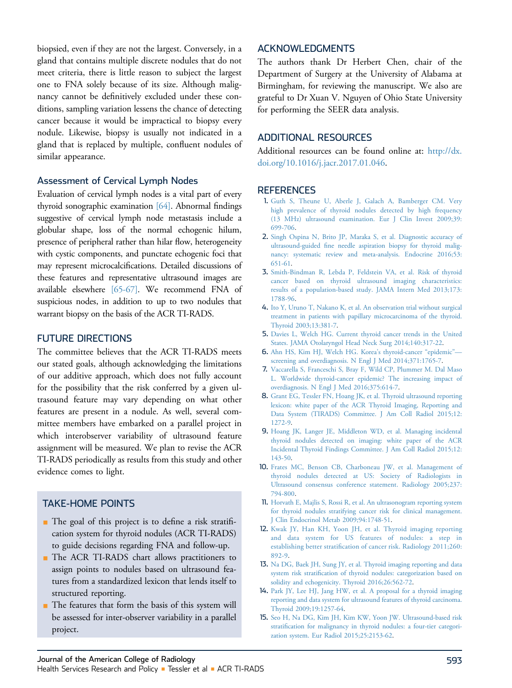<span id="page-6-0"></span>biopsied, even if they are not the largest. Conversely, in a gland that contains multiple discrete nodules that do not meet criteria, there is little reason to subject the largest one to FNA solely because of its size. Although malignancy cannot be definitively excluded under these conditions, sampling variation lessens the chance of detecting cancer because it would be impractical to biopsy every nodule. Likewise, biopsy is usually not indicated in a gland that is replaced by multiple, confluent nodules of similar appearance.

## Assessment of Cervical Lymph Nodes

Evaluation of cervical lymph nodes is a vital part of every thyroid sonographic examination [\[64\]](#page-8-0). Abnormal findings suggestive of cervical lymph node metastasis include a globular shape, loss of the normal echogenic hilum, presence of peripheral rather than hilar flow, heterogeneity with cystic components, and punctate echogenic foci that may represent microcalcifications. Detailed discussions of these features and representative ultrasound images are available elsewhere [\[65-67\].](#page-8-0) We recommend FNA of suspicious nodes, in addition to up to two nodules that warrant biopsy on the basis of the ACR TI-RADS.

## FUTURE DIRECTIONS

The committee believes that the ACR TI-RADS meets our stated goals, although acknowledging the limitations of our additive approach, which does not fully account for the possibility that the risk conferred by a given ultrasound feature may vary depending on what other features are present in a nodule. As well, several committee members have embarked on a parallel project in which interobserver variability of ultrasound feature assignment will be measured. We plan to revise the ACR TI-RADS periodically as results from this study and other evidence comes to light.

## TAKE-HOME POINTS

- The goal of this project is to define a risk stratification system for thyroid nodules (ACR TI-RADS) to guide decisions regarding FNA and follow-up.
- **The ACR TI-RADS** chart allows practitioners to assign points to nodules based on ultrasound features from a standardized lexicon that lends itself to structured reporting.
- The features that form the basis of this system will be assessed for inter-observer variability in a parallel project.

#### ACKNOWLEDGMENTS

The authors thank Dr Herbert Chen, chair of the Department of Surgery at the University of Alabama at Birmingham, for reviewing the manuscript. We also are grateful to Dr Xuan V. Nguyen of Ohio State University for performing the SEER data analysis.

## ADDITIONAL RESOURCES

Additional resources can be found online at: [http://dx.](http://dx.doi.org/10.1016/j.jacr.2017.01.046) [doi.org/10.1016/j.jacr.2017.01.046](http://dx.doi.org/10.1016/j.jacr.2017.01.046).

#### **REFERENCES**

- 1. [Guth S, Theune U, Aberle J, Galach A, Bamberger CM. Very](http://refhub.elsevier.com/S1546-1440(17)30186-2/sref1) [high prevalence of thyroid nodules detected by high frequency](http://refhub.elsevier.com/S1546-1440(17)30186-2/sref1) [\(13 MHz\) ultrasound examination. Eur J Clin Invest 2009;39:](http://refhub.elsevier.com/S1546-1440(17)30186-2/sref1) [699-706.](http://refhub.elsevier.com/S1546-1440(17)30186-2/sref1)
- 2. [Singh Ospina N, Brito JP, Maraka S, et al. Diagnostic accuracy of](http://refhub.elsevier.com/S1546-1440(17)30186-2/sref2) ultrasound-guided fi[ne needle aspiration biopsy for thyroid malig](http://refhub.elsevier.com/S1546-1440(17)30186-2/sref2)[nancy: systematic review and meta-analysis. Endocrine 2016;53:](http://refhub.elsevier.com/S1546-1440(17)30186-2/sref2) [651-61](http://refhub.elsevier.com/S1546-1440(17)30186-2/sref2).
- 3. [Smith-Bindman R, Lebda P, Feldstein VA, et al. Risk of thyroid](http://refhub.elsevier.com/S1546-1440(17)30186-2/sref3) [cancer based on thyroid ultrasound imaging characteristics:](http://refhub.elsevier.com/S1546-1440(17)30186-2/sref3) [results of a population-based study. JAMA Intern Med 2013;173:](http://refhub.elsevier.com/S1546-1440(17)30186-2/sref3) [1788-96.](http://refhub.elsevier.com/S1546-1440(17)30186-2/sref3)
- 4. [Ito Y, Uruno T, Nakano K, et al. An observation trial without surgical](http://refhub.elsevier.com/S1546-1440(17)30186-2/sref4) [treatment in patients with papillary microcarcinoma of the thyroid.](http://refhub.elsevier.com/S1546-1440(17)30186-2/sref4) [Thyroid 2003;13:381-7.](http://refhub.elsevier.com/S1546-1440(17)30186-2/sref4)
- 5. [Davies L, Welch HG. Current thyroid cancer trends in the United](http://refhub.elsevier.com/S1546-1440(17)30186-2/sref5) [States. JAMA Otolaryngol Head Neck Surg 2014;140:317-22.](http://refhub.elsevier.com/S1546-1440(17)30186-2/sref5)
- 6. [Ahn HS, Kim HJ, Welch HG. Korea](http://refhub.elsevier.com/S1546-1440(17)30186-2/sref6)'s thyroid-cancer "epidemic" [screening and overdiagnosis. N Engl J Med 2014;371:1765-7.](http://refhub.elsevier.com/S1546-1440(17)30186-2/sref6)
- 7. [Vaccarella S, Franceschi S, Bray F, Wild CP, Plummer M. Dal Maso](http://refhub.elsevier.com/S1546-1440(17)30186-2/sref7) [L. Worldwide thyroid-cancer epidemic? The increasing impact of](http://refhub.elsevier.com/S1546-1440(17)30186-2/sref7) [overdiagnosis. N Engl J Med 2016;375:614-7](http://refhub.elsevier.com/S1546-1440(17)30186-2/sref7).
- 8. [Grant EG, Tessler FN, Hoang JK, et al. Thyroid ultrasound reporting](http://refhub.elsevier.com/S1546-1440(17)30186-2/sref8) [lexicon: white paper of the ACR Thyroid Imaging, Reporting and](http://refhub.elsevier.com/S1546-1440(17)30186-2/sref8) [Data System \(TIRADS\) Committee. J Am Coll Radiol 2015;12:](http://refhub.elsevier.com/S1546-1440(17)30186-2/sref8) [1272-9](http://refhub.elsevier.com/S1546-1440(17)30186-2/sref8).
- 9. [Hoang JK, Langer JE, Middleton WD, et al. Managing incidental](http://refhub.elsevier.com/S1546-1440(17)30186-2/sref9) [thyroid nodules detected on imaging: white paper of the ACR](http://refhub.elsevier.com/S1546-1440(17)30186-2/sref9) [Incidental Thyroid Findings Committee. J Am Coll Radiol 2015;12:](http://refhub.elsevier.com/S1546-1440(17)30186-2/sref9) [143-50](http://refhub.elsevier.com/S1546-1440(17)30186-2/sref9).
- 10. [Frates MC, Benson CB, Charboneau JW, et al. Management of](http://refhub.elsevier.com/S1546-1440(17)30186-2/sref10) [thyroid nodules detected at US: Society of Radiologists in](http://refhub.elsevier.com/S1546-1440(17)30186-2/sref10) [Ultrasound consensus conference statement. Radiology 2005;237:](http://refhub.elsevier.com/S1546-1440(17)30186-2/sref10) [794-800.](http://refhub.elsevier.com/S1546-1440(17)30186-2/sref10)
- 11. [Horvath E, Majlis S, Rossi R, et al. An ultrasonogram reporting system](http://refhub.elsevier.com/S1546-1440(17)30186-2/sref11) [for thyroid nodules stratifying cancer risk for clinical management.](http://refhub.elsevier.com/S1546-1440(17)30186-2/sref11) [J Clin Endocrinol Metab 2009;94:1748-51.](http://refhub.elsevier.com/S1546-1440(17)30186-2/sref11)
- 12. [Kwak JY, Han KH, Yoon JH, et al. Thyroid imaging reporting](http://refhub.elsevier.com/S1546-1440(17)30186-2/sref12) [and data system for US features of nodules: a step in](http://refhub.elsevier.com/S1546-1440(17)30186-2/sref12) establishing better stratifi[cation of cancer risk. Radiology 2011;260:](http://refhub.elsevier.com/S1546-1440(17)30186-2/sref12) [892-9](http://refhub.elsevier.com/S1546-1440(17)30186-2/sref12).
- 13. [Na DG, Baek JH, Sung JY, et al. Thyroid imaging reporting and data](http://refhub.elsevier.com/S1546-1440(17)30186-2/sref13) system risk stratifi[cation of thyroid nodules: categorization based on](http://refhub.elsevier.com/S1546-1440(17)30186-2/sref13) [solidity and echogenicity. Thyroid 2016;26:562-72.](http://refhub.elsevier.com/S1546-1440(17)30186-2/sref13)
- 14. [Park JY, Lee HJ, Jang HW, et al. A proposal for a thyroid imaging](http://refhub.elsevier.com/S1546-1440(17)30186-2/sref14) [reporting and data system for ultrasound features of thyroid carcinoma.](http://refhub.elsevier.com/S1546-1440(17)30186-2/sref14) [Thyroid 2009;19:1257-64.](http://refhub.elsevier.com/S1546-1440(17)30186-2/sref14)
- 15. [Seo H, Na DG, Kim JH, Kim KW, Yoon JW. Ultrasound-based risk](http://refhub.elsevier.com/S1546-1440(17)30186-2/sref15) stratifi[cation for malignancy in thyroid nodules: a four-tier categori](http://refhub.elsevier.com/S1546-1440(17)30186-2/sref15)[zation system. Eur Radiol 2015;25:2153-62](http://refhub.elsevier.com/S1546-1440(17)30186-2/sref15).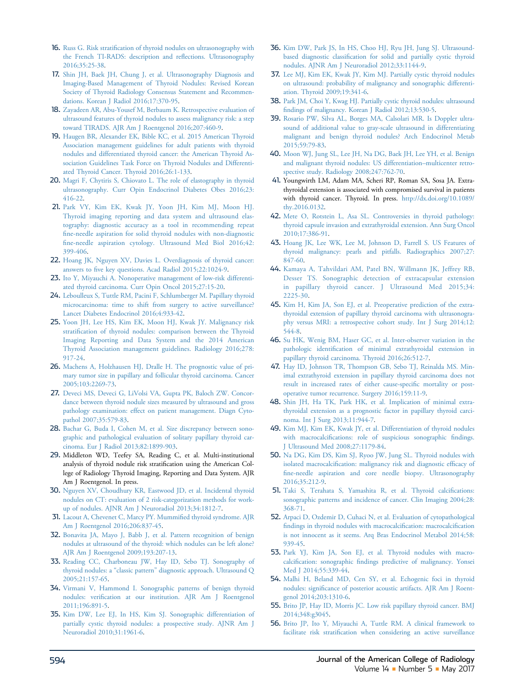- <span id="page-7-0"></span>16. Russ G. Risk stratifi[cation of thyroid nodules on ultrasonography with](http://refhub.elsevier.com/S1546-1440(17)30186-2/sref16) [the French TI-RADS: description and re](http://refhub.elsevier.com/S1546-1440(17)30186-2/sref16)flections. Ultrasonography [2016;35:25-38](http://refhub.elsevier.com/S1546-1440(17)30186-2/sref16).
- 17. [Shin JH, Baek JH, Chung J, et al. Ultrasonography Diagnosis and](http://refhub.elsevier.com/S1546-1440(17)30186-2/sref17) [Imaging-Based Management of Thyroid Nodules: Revised Korean](http://refhub.elsevier.com/S1546-1440(17)30186-2/sref17) [Society of Thyroid Radiology Consensus Statement and Recommen](http://refhub.elsevier.com/S1546-1440(17)30186-2/sref17)[dations. Korean J Radiol 2016;17:370-95](http://refhub.elsevier.com/S1546-1440(17)30186-2/sref17).
- 18. [Zayadeen AR, Abu-Yousef M, Berbaum K. Retrospective evaluation of](http://refhub.elsevier.com/S1546-1440(17)30186-2/sref18) [ultrasound features of thyroid nodules to assess malignancy risk: a step](http://refhub.elsevier.com/S1546-1440(17)30186-2/sref18) [toward TIRADS. AJR Am J Roentgenol 2016;207:460-9](http://refhub.elsevier.com/S1546-1440(17)30186-2/sref18).
- 19. [Haugen BR, Alexander EK, Bible KC, et al. 2015 American Thyroid](http://refhub.elsevier.com/S1546-1440(17)30186-2/sref19) [Association management guidelines for adult patients with thyroid](http://refhub.elsevier.com/S1546-1440(17)30186-2/sref19) [nodules and differentiated thyroid cancer: the American Thyroid As](http://refhub.elsevier.com/S1546-1440(17)30186-2/sref19)[sociation Guidelines Task Force on Thyroid Nodules and Differenti](http://refhub.elsevier.com/S1546-1440(17)30186-2/sref19)[ated Thyroid Cancer. Thyroid 2016;26:1-133](http://refhub.elsevier.com/S1546-1440(17)30186-2/sref19).
- 20. [Magri F, Chytiris S, Chiovato L. The role of elastography in thyroid](http://refhub.elsevier.com/S1546-1440(17)30186-2/sref20) [ultrasonography. Curr Opin Endocrinol Diabetes Obes 2016;23:](http://refhub.elsevier.com/S1546-1440(17)30186-2/sref20) [416-22](http://refhub.elsevier.com/S1546-1440(17)30186-2/sref20).
- 21. [Park VY, Kim EK, Kwak JY, Yoon JH, Kim MJ, Moon HJ.](http://refhub.elsevier.com/S1546-1440(17)30186-2/sref21) [Thyroid imaging reporting and data system and ultrasound elas](http://refhub.elsevier.com/S1546-1440(17)30186-2/sref21)[tography: diagnostic accuracy as a tool in recommending repeat](http://refhub.elsevier.com/S1546-1440(17)30186-2/sref21) fi[ne-needle aspiration for solid thyroid nodules with non-diagnostic](http://refhub.elsevier.com/S1546-1440(17)30186-2/sref21) fi[ne-needle aspiration cytology. Ultrasound Med Biol 2016;42:](http://refhub.elsevier.com/S1546-1440(17)30186-2/sref21) [399-406.](http://refhub.elsevier.com/S1546-1440(17)30186-2/sref21)
- 22. [Hoang JK, Nguyen XV, Davies L. Overdiagnosis of thyroid cancer:](http://refhub.elsevier.com/S1546-1440(17)30186-2/sref22) answers to fi[ve key questions. Acad Radiol 2015;22:1024-9.](http://refhub.elsevier.com/S1546-1440(17)30186-2/sref22)
- 23. [Ito Y, Miyauchi A. Nonoperative management of low-risk differenti](http://refhub.elsevier.com/S1546-1440(17)30186-2/sref23)[ated thyroid carcinoma. Curr Opin Oncol 2015;27:15-20](http://refhub.elsevier.com/S1546-1440(17)30186-2/sref23).
- 24. [Leboulleux S, Tuttle RM, Pacini F, Schlumberger M. Papillary thyroid](http://refhub.elsevier.com/S1546-1440(17)30186-2/sref24) [microcarcinoma: time to shift from surgery to active surveillance?](http://refhub.elsevier.com/S1546-1440(17)30186-2/sref24) [Lancet Diabetes Endocrinol 2016;4:933-42.](http://refhub.elsevier.com/S1546-1440(17)30186-2/sref24)
- 25. [Yoon JH, Lee HS, Kim EK, Moon HJ, Kwak JY. Malignancy risk](http://refhub.elsevier.com/S1546-1440(17)30186-2/sref25) stratifi[cation of thyroid nodules: comparison between the Thyroid](http://refhub.elsevier.com/S1546-1440(17)30186-2/sref25) [Imaging Reporting and Data System and the 2014 American](http://refhub.elsevier.com/S1546-1440(17)30186-2/sref25) [Thyroid Association management guidelines. Radiology 2016;278:](http://refhub.elsevier.com/S1546-1440(17)30186-2/sref25) [917-24.](http://refhub.elsevier.com/S1546-1440(17)30186-2/sref25)
- 26. [Machens A, Holzhausen HJ, Dralle H. The prognostic value of pri](http://refhub.elsevier.com/S1546-1440(17)30186-2/sref26)[mary tumor size in papillary and follicular thyroid carcinoma. Cancer](http://refhub.elsevier.com/S1546-1440(17)30186-2/sref26) [2005;103:2269-73.](http://refhub.elsevier.com/S1546-1440(17)30186-2/sref26)
- 27. [Deveci MS, Deveci G, LiVolsi VA, Gupta PK, Baloch ZW. Concor](http://refhub.elsevier.com/S1546-1440(17)30186-2/sref27)[dance between thyroid nodule sizes measured by ultrasound and gross](http://refhub.elsevier.com/S1546-1440(17)30186-2/sref27) [pathology examination: effect on patient management. Diagn Cyto](http://refhub.elsevier.com/S1546-1440(17)30186-2/sref27)[pathol 2007;35:579-83.](http://refhub.elsevier.com/S1546-1440(17)30186-2/sref27)
- 28. [Bachar G, Buda I, Cohen M, et al. Size discrepancy between sono](http://refhub.elsevier.com/S1546-1440(17)30186-2/sref28)[graphic and pathological evaluation of solitary papillary thyroid car](http://refhub.elsevier.com/S1546-1440(17)30186-2/sref28)[cinoma. Eur J Radiol 2013;82:1899-903.](http://refhub.elsevier.com/S1546-1440(17)30186-2/sref28)
- 29. Middleton WD, Teefey SA, Reading C, et al. Multi-institutional analysis of thyroid nodule risk stratification using the American College of Radiology Thyroid Imaging, Reporting and Data System. AJR Am J Roentgenol. In press.
- 30. [Nguyen XV, Choudhury KR, Eastwood JD, et al. Incidental thyroid](http://refhub.elsevier.com/S1546-1440(17)30186-2/sref30) [nodules on CT: evaluation of 2 risk-categorization methods for work](http://refhub.elsevier.com/S1546-1440(17)30186-2/sref30)[up of nodules. AJNR Am J Neuroradiol 2013;34:1812-7.](http://refhub.elsevier.com/S1546-1440(17)30186-2/sref30)
- 31. [Lacout A, Chevenet C, Marcy PY. Mummi](http://refhub.elsevier.com/S1546-1440(17)30186-2/sref31)fied thyroid syndrome. AJR [Am J Roentgenol 2016;206:837-45.](http://refhub.elsevier.com/S1546-1440(17)30186-2/sref31)
- 32. [Bonavita JA, Mayo J, Babb J, et al. Pattern recognition of benign](http://refhub.elsevier.com/S1546-1440(17)30186-2/sref32) [nodules at ultrasound of the thyroid: which nodules can be left alone?](http://refhub.elsevier.com/S1546-1440(17)30186-2/sref32) [AJR Am J Roentgenol 2009;193:207-13](http://refhub.elsevier.com/S1546-1440(17)30186-2/sref32).
- 33. [Reading CC, Charboneau JW, Hay ID, Sebo TJ. Sonography of](http://refhub.elsevier.com/S1546-1440(17)30186-2/sref33) thyroid nodules: a "classic pattern" [diagnostic approach. Ultrasound Q](http://refhub.elsevier.com/S1546-1440(17)30186-2/sref33) [2005;21:157-65](http://refhub.elsevier.com/S1546-1440(17)30186-2/sref33).
- 34. [Virmani V, Hammond I. Sonographic patterns of benign thyroid](http://refhub.elsevier.com/S1546-1440(17)30186-2/sref34) nodules: verifi[cation at our institution. AJR Am J Roentgenol](http://refhub.elsevier.com/S1546-1440(17)30186-2/sref34) [2011;196:891-5](http://refhub.elsevier.com/S1546-1440(17)30186-2/sref34).
- 35. [Kim DW, Lee EJ, In HS, Kim SJ. Sonographic differentiation of](http://refhub.elsevier.com/S1546-1440(17)30186-2/sref35) [partially cystic thyroid nodules: a prospective study. AJNR Am J](http://refhub.elsevier.com/S1546-1440(17)30186-2/sref35) [Neuroradiol 2010;31:1961-6.](http://refhub.elsevier.com/S1546-1440(17)30186-2/sref35)
- 36. [Kim DW, Park JS, In HS, Choo HJ, Ryu JH, Jung SJ. Ultrasound](http://refhub.elsevier.com/S1546-1440(17)30186-2/sref36)based diagnostic classifi[cation for solid and partially cystic thyroid](http://refhub.elsevier.com/S1546-1440(17)30186-2/sref36) [nodules. AJNR Am J Neuroradiol 2012;33:1144-9.](http://refhub.elsevier.com/S1546-1440(17)30186-2/sref36)
- 37. [Lee MJ, Kim EK, Kwak JY, Kim MJ. Partially cystic thyroid nodules](http://refhub.elsevier.com/S1546-1440(17)30186-2/sref37) [on ultrasound: probability of malignancy and sonographic differenti](http://refhub.elsevier.com/S1546-1440(17)30186-2/sref37)[ation. Thyroid 2009;19:341-6.](http://refhub.elsevier.com/S1546-1440(17)30186-2/sref37)
- 38. [Park JM, Choi Y, Kwag HJ. Partially cystic thyroid nodules: ultrasound](http://refhub.elsevier.com/S1546-1440(17)30186-2/sref38) fi[ndings of malignancy. Korean J Radiol 2012;13:530-5](http://refhub.elsevier.com/S1546-1440(17)30186-2/sref38).
- 39. [Rosario PW, Silva AL, Borges MA, Calsolari MR. Is Doppler ultra](http://refhub.elsevier.com/S1546-1440(17)30186-2/sref39)[sound of additional value to gray-scale ultrasound in differentiating](http://refhub.elsevier.com/S1546-1440(17)30186-2/sref39) [malignant and benign thyroid nodules? Arch Endocrinol Metab](http://refhub.elsevier.com/S1546-1440(17)30186-2/sref39) [2015;59:79-83](http://refhub.elsevier.com/S1546-1440(17)30186-2/sref39).
- 40. [Moon WJ, Jung SL, Lee JH, Na DG, Baek JH, Lee YH, et al. Benign](http://refhub.elsevier.com/S1546-1440(17)30186-2/sref40) [and malignant thyroid nodules: US differentiation](http://refhub.elsevier.com/S1546-1440(17)30186-2/sref40)–multicenter retro[spective study. Radiology 2008;247:762-70.](http://refhub.elsevier.com/S1546-1440(17)30186-2/sref40)
- 41. Youngwirth LM, Adam MA, Scheri RP, Roman SA, Sosa JA. Extrathyroidal extension is associated with compromised survival in patients with thyroid cancer. Thyroid. In press. [http://dx.doi.org/10.1089/](http://dx.doi.org/10.1089/thy.2016.0132) [thy.2016.0132.](http://dx.doi.org/10.1089/thy.2016.0132)
- 42. [Mete O, Rotstein L, Asa SL. Controversies in thyroid pathology:](http://refhub.elsevier.com/S1546-1440(17)30186-2/sref42) [thyroid capsule invasion and extrathyroidal extension. Ann Surg Oncol](http://refhub.elsevier.com/S1546-1440(17)30186-2/sref42) [2010;17:386-91](http://refhub.elsevier.com/S1546-1440(17)30186-2/sref42).
- 43. [Hoang JK, Lee WK, Lee M, Johnson D, Farrell S. US Features of](http://refhub.elsevier.com/S1546-1440(17)30186-2/sref43) [thyroid malignancy: pearls and pitfalls. Radiographics 2007;27:](http://refhub.elsevier.com/S1546-1440(17)30186-2/sref43) [847-60](http://refhub.elsevier.com/S1546-1440(17)30186-2/sref43).
- 44. [Kamaya A, Tahvildari AM, Patel BN, Willmann JK, Jeffrey RB,](http://refhub.elsevier.com/S1546-1440(17)30186-2/sref44) [Desser TS. Sonographic detection of extracapsular extension](http://refhub.elsevier.com/S1546-1440(17)30186-2/sref44) [in papillary thyroid cancer. J Ultrasound Med 2015;34:](http://refhub.elsevier.com/S1546-1440(17)30186-2/sref44) [2225-30.](http://refhub.elsevier.com/S1546-1440(17)30186-2/sref44)
- 45. [Kim H, Kim JA, Son EJ, et al. Preoperative prediction of the extra](http://refhub.elsevier.com/S1546-1440(17)30186-2/sref45)[thyroidal extension of papillary thyroid carcinoma with ultrasonogra](http://refhub.elsevier.com/S1546-1440(17)30186-2/sref45)[phy versus MRI: a retrospective cohort study. Int J Surg 2014;12:](http://refhub.elsevier.com/S1546-1440(17)30186-2/sref45) [544-8](http://refhub.elsevier.com/S1546-1440(17)30186-2/sref45).
- 46. [Su HK, Wenig BM, Haser GC, et al. Inter-observer variation in the](http://refhub.elsevier.com/S1546-1440(17)30186-2/sref46) pathologic identifi[cation of minimal extrathyroidal extension in](http://refhub.elsevier.com/S1546-1440(17)30186-2/sref46) [papillary thyroid carcinoma. Thyroid 2016;26:512-7](http://refhub.elsevier.com/S1546-1440(17)30186-2/sref46).
- 47. [Hay ID, Johnson TR, Thompson GB, Sebo TJ, Reinalda MS. Min](http://refhub.elsevier.com/S1546-1440(17)30186-2/sref47)[imal extrathyroid extension in papillary thyroid carcinoma does not](http://refhub.elsevier.com/S1546-1440(17)30186-2/sref47) [result in increased rates of either cause-speci](http://refhub.elsevier.com/S1546-1440(17)30186-2/sref47)fic mortality or post[operative tumor recurrence. Surgery 2016;159:11-9](http://refhub.elsevier.com/S1546-1440(17)30186-2/sref47).
- 48. [Shin JH, Ha TK, Park HK, et al. Implication of minimal extra](http://refhub.elsevier.com/S1546-1440(17)30186-2/sref48)[thyroidal extension as a prognostic factor in papillary thyroid carci](http://refhub.elsevier.com/S1546-1440(17)30186-2/sref48)[noma. Int J Surg 2013;11:944-7.](http://refhub.elsevier.com/S1546-1440(17)30186-2/sref48)
- 49. [Kim MJ, Kim EK, Kwak JY, et al. Differentiation of thyroid nodules](http://refhub.elsevier.com/S1546-1440(17)30186-2/sref49) with macrocalcifi[cations: role of suspicious sonographic](http://refhub.elsevier.com/S1546-1440(17)30186-2/sref49) findings. [J Ultrasound Med 2008;27:1179-84](http://refhub.elsevier.com/S1546-1440(17)30186-2/sref49).
- 50. [Na DG, Kim DS, Kim SJ, Ryoo JW, Jung SL. Thyroid nodules with](http://refhub.elsevier.com/S1546-1440(17)30186-2/sref50) isolated macrocalcifi[cation: malignancy risk and diagnostic ef](http://refhub.elsevier.com/S1546-1440(17)30186-2/sref50)ficacy of fi[ne-needle aspiration and core needle biopsy. Ultrasonography](http://refhub.elsevier.com/S1546-1440(17)30186-2/sref50) [2016;35:212-9](http://refhub.elsevier.com/S1546-1440(17)30186-2/sref50).
- 51. [Taki S, Terahata S, Yamashita R, et al. Thyroid calci](http://refhub.elsevier.com/S1546-1440(17)30186-2/sref51)fications: [sonographic patterns and incidence of cancer. Clin Imaging 2004;28:](http://refhub.elsevier.com/S1546-1440(17)30186-2/sref51) [368-71](http://refhub.elsevier.com/S1546-1440(17)30186-2/sref51).
- 52. [Arpaci D, Ozdemir D, Cuhaci N, et al. Evaluation of cytopathological](http://refhub.elsevier.com/S1546-1440(17)30186-2/sref52) fi[ndings in thyroid nodules with macrocalci](http://refhub.elsevier.com/S1546-1440(17)30186-2/sref52)fication: macrocalcification [is not innocent as it seems. Arq Bras Endocrinol Metabol 2014;58:](http://refhub.elsevier.com/S1546-1440(17)30186-2/sref52) [939-45](http://refhub.elsevier.com/S1546-1440(17)30186-2/sref52).
- 53. [Park YJ, Kim JA, Son EJ, et al. Thyroid nodules with macro](http://refhub.elsevier.com/S1546-1440(17)30186-2/sref53)calcification: sonographic fi[ndings predictive of malignancy. Yonsei](http://refhub.elsevier.com/S1546-1440(17)30186-2/sref53) [Med J 2014;55:339-44](http://refhub.elsevier.com/S1546-1440(17)30186-2/sref53).
- 54. [Malhi H, Beland MD, Cen SY, et al. Echogenic foci in thyroid](http://refhub.elsevier.com/S1546-1440(17)30186-2/sref54) nodules: signifi[cance of posterior acoustic artifacts. AJR Am J Roent](http://refhub.elsevier.com/S1546-1440(17)30186-2/sref54)[genol 2014;203:1310-6](http://refhub.elsevier.com/S1546-1440(17)30186-2/sref54).
- 55. [Brito JP, Hay ID, Morris JC. Low risk papillary thyroid cancer. BMJ](http://refhub.elsevier.com/S1546-1440(17)30186-2/sref55) [2014;348:g3045](http://refhub.elsevier.com/S1546-1440(17)30186-2/sref55).
- 56. [Brito JP, Ito Y, Miyauchi A, Tuttle RM. A clinical framework to](http://refhub.elsevier.com/S1546-1440(17)30186-2/sref56) facilitate risk stratifi[cation when considering an active surveillance](http://refhub.elsevier.com/S1546-1440(17)30186-2/sref56)